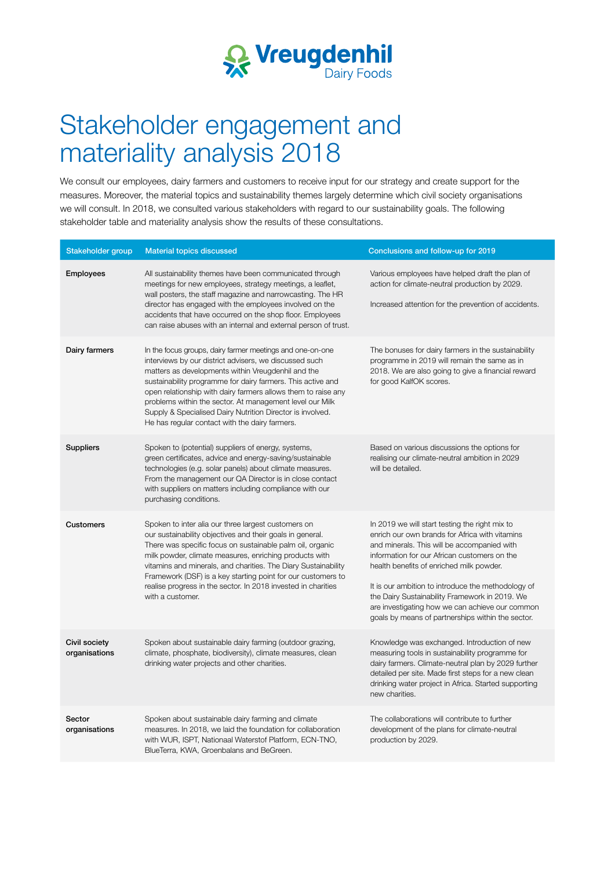

## Stakeholder engagement and materiality analysis 2018

We consult our employees, dairy farmers and customers to receive input for our strategy and create support for the measures. Moreover, the material topics and sustainability themes largely determine which civil society organisations we will consult. In 2018, we consulted various stakeholders with regard to our sustainability goals. The following stakeholder table and materiality analysis show the results of these consultations.

| Stakeholder group              | <b>Material topics discussed</b>                                                                                                                                                                                                                                                                                                                                                                                                                                                      | Conclusions and follow-up for 2019                                                                                                                                                                                                                                                                                                                                                                                                                          |
|--------------------------------|---------------------------------------------------------------------------------------------------------------------------------------------------------------------------------------------------------------------------------------------------------------------------------------------------------------------------------------------------------------------------------------------------------------------------------------------------------------------------------------|-------------------------------------------------------------------------------------------------------------------------------------------------------------------------------------------------------------------------------------------------------------------------------------------------------------------------------------------------------------------------------------------------------------------------------------------------------------|
| <b>Employees</b>               | All sustainability themes have been communicated through<br>meetings for new employees, strategy meetings, a leaflet,<br>wall posters, the staff magazine and narrowcasting. The HR<br>director has engaged with the employees involved on the<br>accidents that have occurred on the shop floor. Employees<br>can raise abuses with an internal and external person of trust.                                                                                                        | Various employees have helped draft the plan of<br>action for climate-neutral production by 2029.<br>Increased attention for the prevention of accidents.                                                                                                                                                                                                                                                                                                   |
| Dairy farmers                  | In the focus groups, dairy farmer meetings and one-on-one<br>interviews by our district advisers, we discussed such<br>matters as developments within Vreugdenhil and the<br>sustainability programme for dairy farmers. This active and<br>open relationship with dairy farmers allows them to raise any<br>problems within the sector. At management level our Milk<br>Supply & Specialised Dairy Nutrition Director is involved.<br>He has regular contact with the dairy farmers. | The bonuses for dairy farmers in the sustainability<br>programme in 2019 will remain the same as in<br>2018. We are also going to give a financial reward<br>for good KalfOK scores.                                                                                                                                                                                                                                                                        |
| <b>Suppliers</b>               | Spoken to (potential) suppliers of energy, systems,<br>green certificates, advice and energy-saving/sustainable<br>technologies (e.g. solar panels) about climate measures.<br>From the management our QA Director is in close contact<br>with suppliers on matters including compliance with our<br>purchasing conditions.                                                                                                                                                           | Based on various discussions the options for<br>realising our climate-neutral ambition in 2029<br>will be detailed.                                                                                                                                                                                                                                                                                                                                         |
| Customers                      | Spoken to inter alia our three largest customers on<br>our sustainability objectives and their goals in general.<br>There was specific focus on sustainable palm oil, organic<br>milk powder, climate measures, enriching products with<br>vitamins and minerals, and charities. The Diary Sustainability<br>Framework (DSF) is a key starting point for our customers to<br>realise progress in the sector. In 2018 invested in charities<br>with a customer.                        | In 2019 we will start testing the right mix to<br>enrich our own brands for Africa with vitamins<br>and minerals. This will be accompanied with<br>information for our African customers on the<br>health benefits of enriched milk powder.<br>It is our ambition to introduce the methodology of<br>the Dairy Sustainability Framework in 2019. We<br>are investigating how we can achieve our common<br>goals by means of partnerships within the sector. |
| Civil society<br>organisations | Spoken about sustainable dairy farming (outdoor grazing,<br>climate, phosphate, biodiversity), climate measures, clean<br>drinking water projects and other charities.                                                                                                                                                                                                                                                                                                                | Knowledge was exchanged. Introduction of new<br>measuring tools in sustainability programme for<br>dairy farmers. Climate-neutral plan by 2029 further<br>detailed per site. Made first steps for a new clean<br>drinking water project in Africa. Started supporting<br>new charities.                                                                                                                                                                     |
| Sector<br>organisations        | Spoken about sustainable dairy farming and climate<br>measures. In 2018, we laid the foundation for collaboration<br>with WUR, ISPT, Nationaal Waterstof Platform, ECN-TNO,<br>BlueTerra, KWA, Groenbalans and BeGreen.                                                                                                                                                                                                                                                               | The collaborations will contribute to further<br>development of the plans for climate-neutral<br>production by 2029.                                                                                                                                                                                                                                                                                                                                        |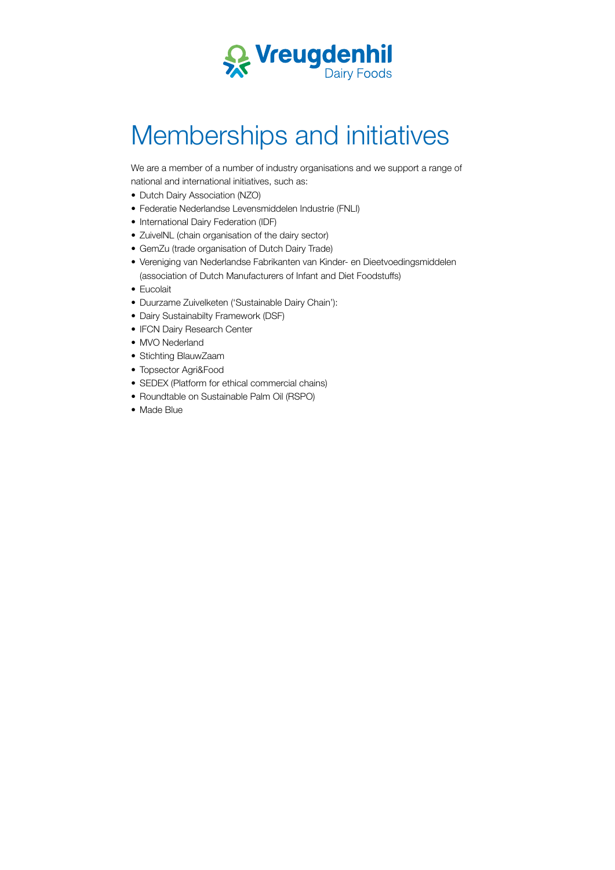

## Memberships and initiatives

We are a member of a number of industry organisations and we support a range of national and international initiatives, such as:

- Dutch Dairy Association (NZO)
- Federatie Nederlandse Levensmiddelen Industrie (FNLI)
- International Dairy Federation (IDF)
- ZuivelNL (chain organisation of the dairy sector)
- GemZu (trade organisation of Dutch Dairy Trade)
- Vereniging van Nederlandse Fabrikanten van Kinder- en Dieetvoedingsmiddelen (association of Dutch Manufacturers of Infant and Diet Foodstufs)
- Eucolait
- Duurzame Zuivelketen ('Sustainable Dairy Chain'):
- Dairy Sustainabilty Framework (DSF)
- IFCN Dairy Research Center
- MVO Nederland
- Stichting BlauwZaam
- Topsector Agri&Food
- SEDEX (Platform for ethical commercial chains)
- Roundtable on Sustainable Palm Oil (RSPO)
- Made Blue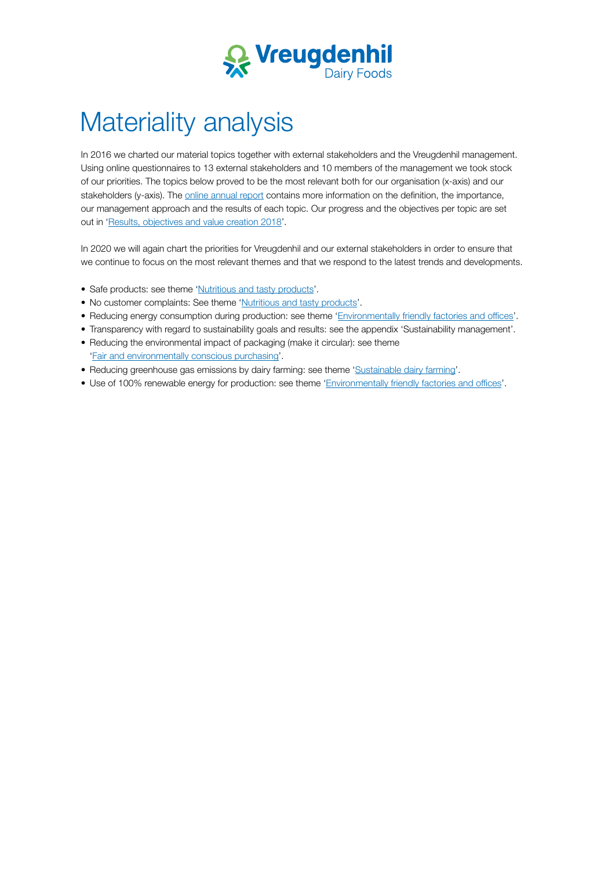

## Materiality analysis

In 2016 we charted our material topics together with external stakeholders and the Vreugdenhil management. Using online questionnaires to 13 external stakeholders and 10 members of the management we took stock of our priorities. The topics below proved to be the most relevant both for our organisation (x-axis) and our stakeholders (y-axis). The [online annual report](https://www.vreugdenhildairyfoods.com/sustainability/) contains more information on the definition, the importance, our management approach and the results of each topic. Our progress and the objectives per topic are set out in '[Results, objectives and value creation 2018'](https://www.vreugdenhildairyfoods.com/globalassets/corporate/duurzaamheid/jaarverslag-2018/results-objectives-and-value-creation-2018.pdf).

In 2020 we will again chart the priorities for Vreugdenhil and our external stakeholders in order to ensure that we continue to focus on the most relevant themes and that we respond to the latest trends and developments.

- Safe products: see theme '[Nutritious and tasty products'](https://www.vreugdenhildairyfoods.com/sustainability/nutritious-products/).
- No customer complaints: See theme '[Nutritious and tasty products'](https://www.vreugdenhildairyfoods.com/sustainability/nutritious-products/).
- Reducing energy consumption during production: see theme 'Environmentally friendly factories and offices'.
- Transparency with regard to sustainability goals and results: see the appendix 'Sustainability management'.
- Reducing the environmental impact of packaging (make it circular): see theme ['Fair and environmentally conscious purchasing'](https://www.vreugdenhildairyfoods.com/sustainability/purchasing/).
- Reducing greenhouse gas emissions by dairy farming: see theme '[Sustainable dairy farming](https://www.vreugdenhildairyfoods.com/sustainability/Sustainable-dairy-farming/)'.
- Use of 100% renewable energy for production: see theme 'Environmentally friendly factories and offices'.